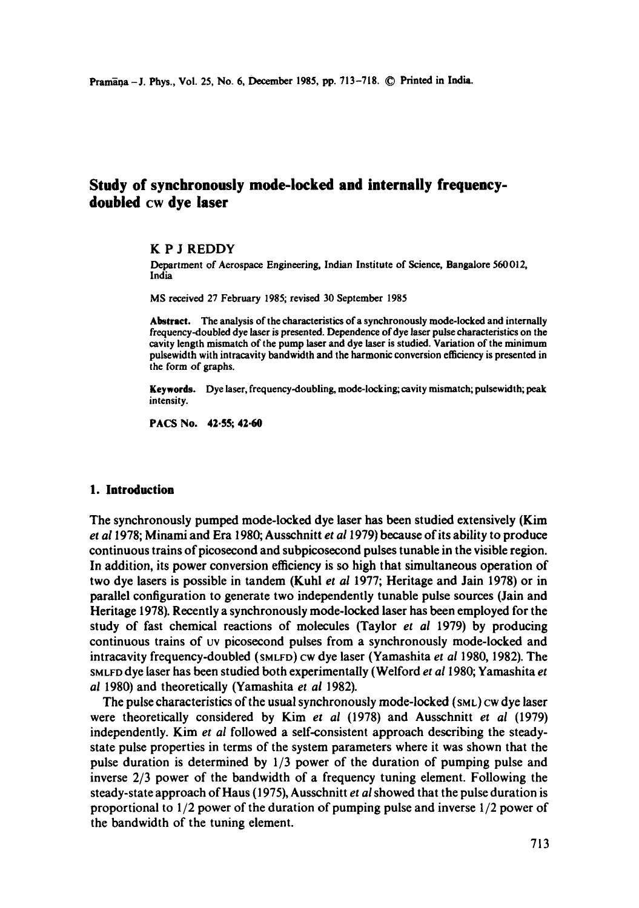# **Study of synchronously mode-locked and internally frequencydoubled cw dye laser**

### **K P J** REDDY

Department of Aerospace Engineering, Indian Institute of Science, Bangalore 560012, India

MS received 27 February 1985; revised 30 September 1985

**Abstract.** The analysis of the characteristics of a synchronously mode-locked and internally frequency-doubled dye laser is presented. Dependence of dye laser pulse characteristics on the cavity length mismatch of the pump laser and dye laser is studied. Variation of the minimum pulsewidth with intracavity bandwidth and the harmonic conversion efficiency is presented in the form of graphs.

**Keywords.** Dye laser, frequency-doubling, mode-locking; cavity mismatch; pulsewidth; peak intensity.

PACS No. 42.55; 42.60

### **1. Introduction**

The synchronously pumped mode-locked dye laser has been studied extensively (Kim *et ai* 1978; Minami and Era 1980; Ausschnitt *et a11979)* because of its ability to produce continuous trains of picosecond and subpicosecond pulses tunable in the visible region. In addition, its power conversion efficiency is so high that simultaneous operation of two dye lasers is possible in tandem (Kuhl *et al* 1977; Heritage and Jain 1978) or in parallel configuration to generate two independently tunable pulse sources (Jain and Heritage 1978). Recently a synchronously mode-locked laser has been employed for the study of fast chemical reactions of molecules (Taylor *et al* 1979) by producing continuous trains of vv picosecond pulses from a synchronously mode-locked and intracavity frequency-doubled (SMLFD) CW dye laser (Yamashita *et ai* 1980, 1982). The SMLFD dye laser has been studied both experimentally (Welford *et ai* 1980; Yamashita *et al* 1980) and theoretically (Yamashita *et al* 1982).

The pulse characteristics of the usual synchronously mode-locked  $(s_{ML})$  Cw dye laser were theoretically considered by Kim *et al* (1978) and Ausschnitt *et al* (1979) independently. Kim *et al* followed a self-consistent approach describing the steadystate pulse properties in terms of the system parameters where it was shown that the pulse duration is determined by 1/3 power of the duration of pumping pulse and inverse 2/3 power of the bandwidth of a frequency tuning element. Following the steady-state approach of Haus (1975), Ausschnitt *et ai* showed that the pulse duration is proportional to 1/2 power of the duration of pumping pulse and inverse 1/2 power of the bandwidth of the tuning element.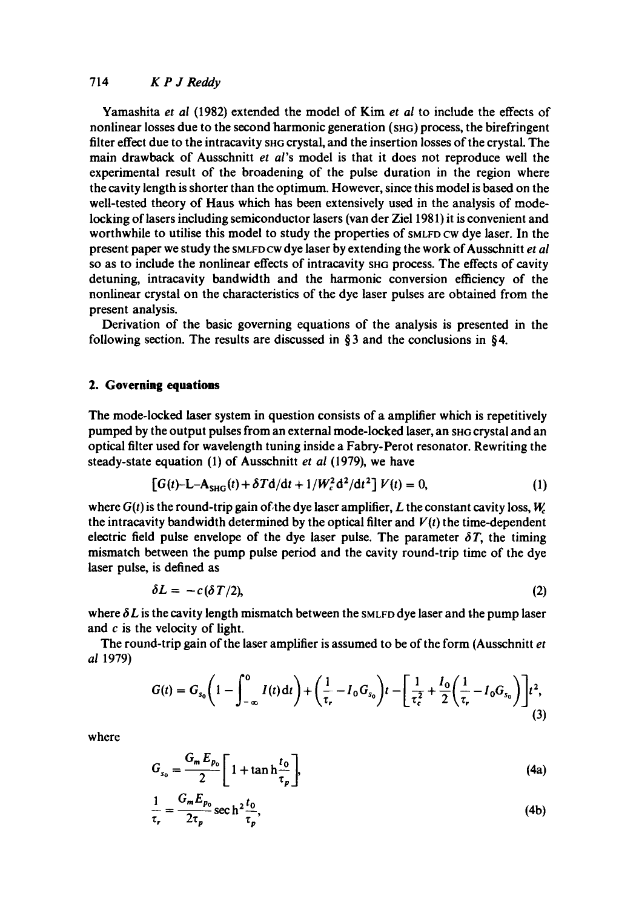## 714 *K P J Reddy*

Yamashita *et al* (1982) extended the model of Kim *et al* to include the effects of nonlinear losses due to the second harmonic generation (SHG) process, the birefringent filter effect due to the intracavity she crystal, and the insertion losses of the crystal. The main drawback of Ausschnitt *et al's* model is that it does not reproduce well the experimental result of the broadening of the pulse duration in the region where the cavity length is shorter than the optimum. However, since this model is based on the well-tested theory of Haus which has been extensively used in the analysis of modelocking of lasers including semiconductor lasers (van der Ziel 1981) it is convenient and worthwhile to utilise this model to study the properties of SMLFD CW dye laser. In the present paper we study the SMLFD CW dye laser by extending the work of Ausschnitt *et al*  so as to include the nonlinear effects of intracavity SHG process. The effects of cavity detuning, intracavity bandwidth and the harmonic conversion efficiency of the nonlinear crystal on the characteristics of the dye laser pulses are obtained from the present analysis.

Derivation of the basic governing equations of the analysis is presented in the following section. The results are discussed in  $\S 3$  and the conclusions in  $\S 4$ .

## **2. Governing equations**

The mode-locked laser system in question consists of a amplifier which is repetitively pumped by the output pulses from an external mode-locked laser, an SHG crystal and an optical filter used for wavelength tuning inside a Fabry-Perot resonator. Rewriting the steady-state equation (1) of Ausschnitt *et al* (1979), we have

$$
\left[G(t) - L - A_{SHG}(t) + \delta T d/dt + 1/W_c^2 d^2/dt^2\right] V(t) = 0,
$$
\n(1)

where  $G(t)$  is the round-trip gain of the dye laser amplifier, L the constant cavity loss,  $W_c$ the intracavity bandwidth determined by the optical filter and  $V(t)$  the time-dependent electric field pulse envelope of the dye laser pulse. The parameter  $\delta T$ , the timing mismatch between the pump pulse period and the cavity round-trip time of the dye laser pulse, is defined as

$$
\delta L = -c(\delta T/2),\tag{2}
$$

where  $\delta L$  is the cavity length mismatch between the SMLFD dye laser and the pump laser and c is the velocity of light.

The round-trip gain of the laser amplifier is assumed to be of the form (Ausschnitt *et al* 1979)

$$
G(t) = G_{s_0} \left( 1 - \int_{-\infty}^0 I(t) dt \right) + \left( \frac{1}{\tau_r} - I_0 G_{s_0} \right) t - \left[ \frac{1}{\tau_c^2} + \frac{I_0}{2} \left( \frac{1}{\tau_r} - I_0 G_{s_0} \right) \right] t^2,
$$
\n(3)

where

$$
G_{s_0} = \frac{G_m E_{p_0}}{2} \left[ 1 + \tanh \frac{t_0}{\tau_p} \right],\tag{4a}
$$

$$
\frac{1}{\tau_r} = \frac{G_m E_{p_0}}{2\tau_p} \sec h^2 \frac{t_0}{\tau_p},\tag{4b}
$$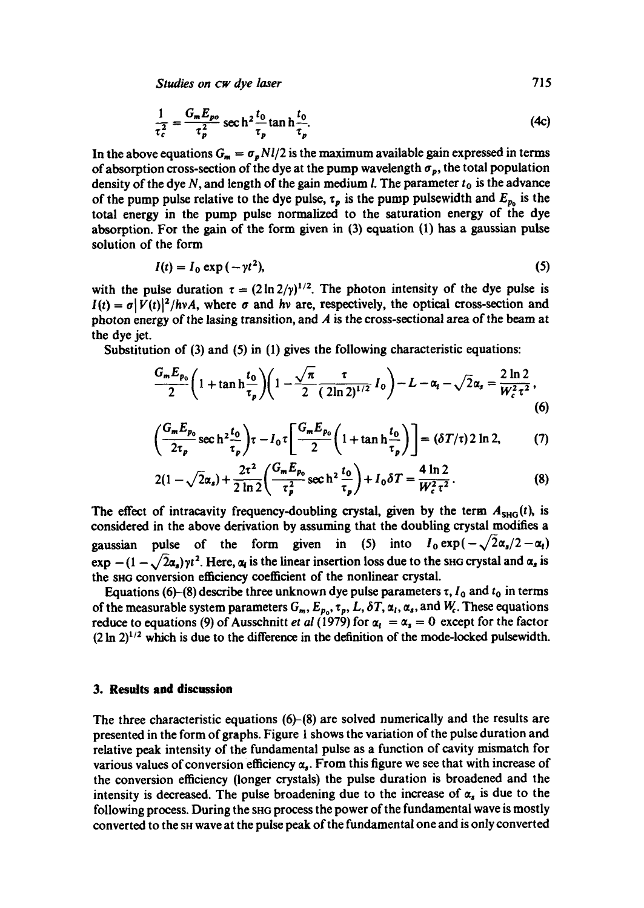Studies on cw dye *laser* **715** 

$$
\frac{1}{\tau_c^2} = \frac{G_m E_{po}}{\tau_p^2} \sec h^2 \frac{t_0}{\tau_p} \tan h \frac{t_0}{\tau_p}.
$$
 (4c)

In the above equations  $G_m = \sigma_p N l / 2$  is the maximum available gain expressed in terms of absorption cross-section of the dye at the pump wavelength  $\sigma_p$ , the total population density of the dye N, and length of the gain medium *l*. The parameter  $t_0$  is the advance of the pump pulse relative to the dye pulse,  $\tau_p$  is the pump pulsewidth and  $E_{p_0}$  is the total energy in the pump pulse normalized to the saturation energy of the dye absorption. For the gain of the form given in (3) equation (1) has a gaussian pulse solution of the form

$$
I(t) = I_0 \exp(-\gamma t^2),\tag{5}
$$

with the pulse duration  $\tau = (2 \ln 2/y)^{1/2}$ . The photon intensity of the dye pulse is  $I(t) = \sigma |\overline{V}(t)|^2 / h v A$ , where  $\sigma$  and hv are, respectively, the optical cross-section and photon energy of the lasing transition, and  $A$  is the cross-sectional area of the beam at the dye jet.

Substitution of (3) and (5) in (1) gives the following characteristic equations:

$$
\frac{G_m E_{p_0}}{2} \left( 1 + \tan \frac{t_0}{\tau_p} \right) \left( 1 - \frac{\sqrt{\pi}}{2} \frac{\tau}{(2 \ln 2)^{1/2}} I_0 \right) - L - \alpha_l - \sqrt{2} \alpha_s = \frac{2 \ln 2}{W_c^2 \tau^2},
$$
\n(6)

$$
\left(\frac{G_m E_{p_0}}{2\tau_p} \sec\hbar^2 \frac{t_0}{\tau_p}\right) \tau - I_0 \tau \left[\frac{G_m E_{p_0}}{2} \left(1 + \tan\hbar \frac{t_0}{\tau_p}\right)\right] = (\delta T/\tau) 2 \ln 2, \tag{7}
$$

$$
2(1 - \sqrt{2}\alpha_s) + \frac{2\tau^2}{2\ln 2} \left( \frac{G_m E_{p_0}}{\tau_p^2} \sec h^2 \frac{t_0}{\tau_p} \right) + I_0 \delta T = \frac{4\ln 2}{W_c^2 \tau^2}.
$$
 (8)

The effect of intracavity frequency-doubling crystal, given by the term  $A_{SHG}(t)$ , is considered in the above derivation by assuming that the doubling crystal modifies a considered in the above derivation by assuming that the doubling crystal modifies a<br>gaussian pulse of the form given in (5) into  $I_0 \exp(-\sqrt{2}\alpha_s/2 - \alpha_l)$ <br>exp  $-(1-\sqrt{2}\alpha_s)yt^2$ . Here,  $\alpha_l$  is the linear insertion loss due to the shG conversion efficiency coefficient of the nonlinear crystal.

Equations (6)–(8) describe three unknown dye pulse parameters  $\tau$ ,  $I_0$  and  $t_0$  in terms of the measurable system parameters  $G_m$ ,  $E_{p_0}$ ,  $\tau_p$ ,  $L$ ,  $\delta T$ ,  $\alpha_l$ ,  $\alpha_s$ , and  $W_c$ . These equations reduce to equations (9) of Ausschnitt et al (1979) for  $\alpha_i = \alpha_s = 0$  except for the factor  $(2 \ln 2)^{1/2}$  which is due to the difference in the definition of the mode-locked pulsewidth.

#### **3. Results and discussion**

The three characteristic equations (6)-(8) are solved numerically and the results are presented in the form of graphs. Figure 1 shows the variation of the pulse duration and relative peak intensity of the fundamental pulse as a function of cavity mismatch for various values of conversion efficiency  $\alpha_s$ . From this figure we see that with increase of the conversion efficiency (longer crystals) the pulse duration is broadened and the intensity is decreased. The pulse broadening due to the increase of  $\alpha_s$  is due to the following process. During the SHG process the power of the fundamental wave is mostly converted to the SH wave at the pulse peak of the fundamental one and is only converted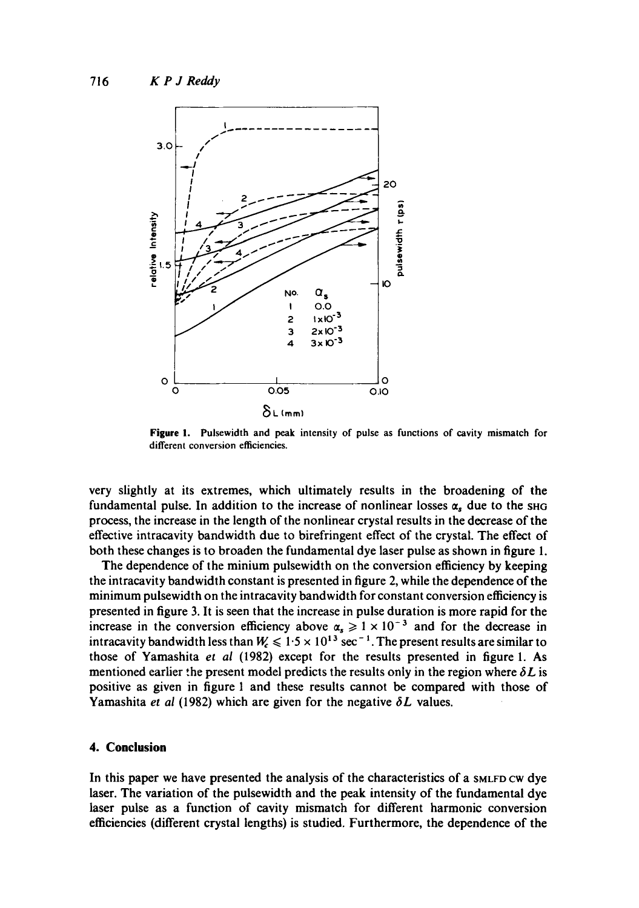

**Figure** 1. Pulsewidth and peak intensity of pulse as functions of cavity mismatch for different conversion efficiencies.

very slightly at its extremes, which ultimately results in the broadening of the fundamental pulse. In addition to the increase of nonlinear losses  $\alpha_s$  due to the SHG process, the increase in the length of the nonlinear crystal results in the decrease of the effective intracavity bandwidth due to birefringent effect of the crystal. The effect of both these changes is to broaden the fundamental dye laser pulse as shown in figure 1.

The dependence of the minium pulsewidth on the conversion efficiency by keeping the intracavity bandwidth constant is presented in figure 2, while the dependence of the minimum pulsewidth on the intracavity bandwidth for constant conversion efficiency is presented in figure 3. It is seen that the increase in pulse duration is more rapid for the increase in the conversion efficiency above  $\alpha_s \geq 1 \times 10^{-3}$  and for the decrease in intracavity bandwidth less than  $W_{\rm c} \leqslant 1.5 \times 10^{13}~{\rm sec}^{-1}$ . The present results are similar to those of Yamashita *et al* (1982) except for the results presented in figure 1. As mentioned earlier the present model predicts the results only in the region where  $\delta L$  is positive as given in figure 1 and these results cannot be compared with those of Yamashita *et al* (1982) which are given for the negative  $\delta L$  values.

## **4. Conclusion**

In this paper we have presented the analysis of the characteristics of a SMLFD CW dye laser. The variation of the pulsewidth and the peak intensity of the fundamental dye laser pulse as a function of cavity mismatch for different harmonic conversion efficiencies (different crystal lengths) is studied. Furthermore, the dependence of the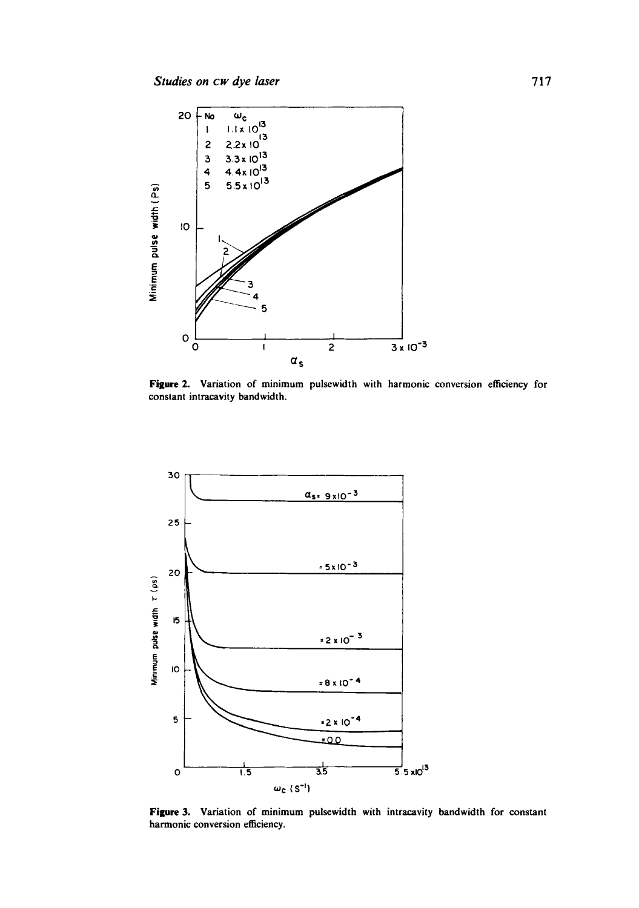

Figure 2. Variation of minimum pulsewidth with harmonic conversion efficiency for constant intracavity bandwidth.



Figure 3. Variation of minimum pulsewidth with intracavity bandwidth for constant harmonic conversion efficiency.